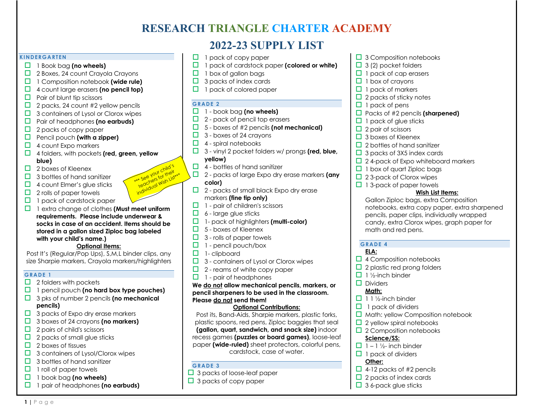# **RESEARCH TRIANGLE CHARTER ACADEMY**

# **2022-23 SUPPLY LIST**

#### **KINDERGARTEN**

- □ 1 Book bag (no wheels)
- $\Box$  2 Boxes, 24 count Crayola Crayons
- □ 1 Composition notebook (wide rule)
- **d** 4 count large erasers **(no pencil top)**
- $\Box$  Pair of blunt tip scissors
- $\Box$  2 packs, 24 count #2 yellow pencils
- $\Box$  3 containers of Lysol or Clorox wipes
- **D** Pair of headphones (no earbuds)
- $\Box$  2 packs of copy paper
- $\Box$  Pencil pouch **(with a zipper)**
- $\Box$  4 count Expo markers
- $\Box$  4 folders, with pockets **(red, green, yellow blue)**

\*\* See your child's we your chineir<br>
ite see your chineir<br>
teachers wish List\*\*<br>
individual Wish List\*\*<br>
individual Wish List\*\*\*

- $\Box$  2 boxes of Kleenex
- $\Box$  3 bottles of hand sanitizer
- $\Box$  4 count Elmer's glue sticks
- $\Box$  2 rolls of paper towels
- $\Box$  1 pack of cardstock paper
- □ 1 extra change of clothes **(Must meet uniform requirements. Please include underwear & socks in case of an accident. Items should be stored in a gallon sized Ziploc bag labeled with your child's name.)**

## **Optional Items:**

Post It's (Regular/Pop Ups), S,M,L binder clips, any size Sharpie markers, Crayola markers/highlighters

### **GRADE 1**

**1 |** Page

- $\Box$  2 folders with pockets
- $\Box$  1 pencil pouch (no hard box type pouches)
- $\Box$  3 pks of number 2 pencils **(no mechanical pencils)**
- $\Box$  3 packs of Expo dry erase markers
- o 3 boxes of 24 crayons **(no markers)**
- $\Box$  2 pairs of child's scissors
- $\Box$  2 packs of small glue sticks
- $\Box$  2 boxes of tissues
- $\Box$  3 containers of Lysol/Clorox wipes
- $\Box$  3 bottles of hand sanitizer
- $\Box$  1 roll of paper towels
- $\Box$  1 book bag (no wheels)
- o 1 pair of headphones **(no earbuds)**
- $\Box$  1 pack of copy paper
- □ 1 pack of cardstock paper (colored or white)
- $\Box$  1 box of gallon bags
- $\Box$  3 packs of index cards
- $\Box$  1 pack of colored paper

### **GRADE 2**

- $\Box$  1 book bag (no wheels)
- $\Box$  2 pack of pencil top erasers
- o 5 boxes of #2 pencils **(not mechanical)**
- $\Box$  3 boxes of 24 crayons
- $\Box$  4 spiral notebooks
- o 3 vinyl 2 pocket folders w/ prongs **(red, blue, yellow)**
- $\Box$  4 bottles of hand sanitizer
- o 2 packs of large Expo dry erase markers **(any color)**
- $\Box$  2 packs of small black Expo dry erase markers **(fine tip only)**
- $\Box$  1 pair of children's scissors
- $\Box$  6 large glue sticks
- o 1- pack of highlighters **(multi-color)**
- $\Box$  5 boxes of Kleenex
- $\Box$  3 rolls of paper towels
- $\Box$  1 pencil pouch/box
- $\Box$  1- clipboard
- $\Box$  3 containers of Lysol or Clorox wipes
- $\Box$  2 reams of white copy paper
- $\Box$  1 pair of headphones

**We do not allow mechanical pencils, markers, or pencil sharpeners to be used in the classroom. Please do not send them!**

### **Optional Contributions:**

Post its, Band-Aids, Sharpie markers, plastic forks, plastic spoons, red pens, Ziploc baggies that seal **(gallon, quart, sandwich, and snack size)** indoor recess games **(puzzles or board games)**, loose-leaf paper **(wide-ruled)** sheet protectors, colorful pens, cardstock, case of water.

#### **GRADE 3**

- $\Box$  3 packs of loose-leaf paper
- $\Box$  3 packs of copy paper
- $\Box$  3 Composition notebooks
- $\Box$  3 (2) pocket folders
- $\Box$  1 pack of cap erasers
- $\Box$  1 box of crayons
- $\Box$  1 pack of markers
- $\Box$  2 packs of sticky notes
- $\Box$  1 pack of pens
- **O** Packs of #2 pencils **(sharpened)**
- $\Box$  1 pack of glue sticks
- $\Box$  2 pair of scissors
- $\Box$  3 boxes of Kleenex
- $\Box$  2 bottles of hand sanitizer
- $\Box$  3 packs of 3X5 index cards
- $\Box$  24-pack of Expo whiteboard markers
- $\Box$  1 box of quart Ziploc bags
- $\Box$  2 3-pack of Clorox wipes
- $\Box$  1 3-pack of paper towels

### **Wish List Items:**

Gallon Ziploc bags, extra Composition notebooks, extra copy paper, extra sharpened pencils, paper clips, individually wrapped candy, extra Clorox wipes, graph paper for math and red pens.

## **GRADE 4**

### **ELA:**

- $\Box$  4 Composition notebooks
- $\Box$  2 plastic red prong folders
- $\Box$  1 ½-inch binder
- $\square$  Dividers

## **Math:**

- $\Box$  1 1 ½-inch binder
- $\Box$  1 pack of dividers
- $\Box$  Math: yellow Composition notebook
- $\Box$  2 yellow spiral notebooks

 $\Box$  4-12 packs of #2 pencils  $\Box$  2 packs of index cards  $\Box$  3 6-pack glue sticks

 $\Box$  2 Composition notebooks

#### **Science/SS:**  $\Box$  1 – 1 ½- inch binder

**Other:**

 $\Pi$  1 pack of dividers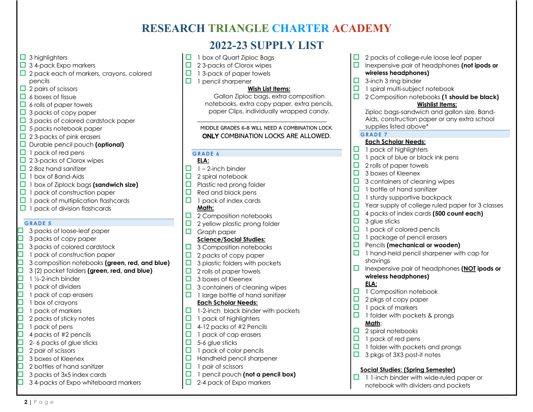# **RESEARCH TRIANGLE CHARTER ACADEMY**

# **2022-23 SUPPLY LIST**

- $\Box$  3 highlighters
- $\Box$  3 4-pack Expo markers
- $\Box$  2 pack each of markers, crayons, colored pencils
- $\Box$  2 pairs of scissors
- $\Box$  6 boxes of tissue
- $\Box$  6 rolls of paper towels
- $\Box$  3 packs of copy paper
- $\Box$  3 packs of colored cardstock paper
- $\Box$  5 packs notebook paper
- $\Box$  2 3-packs of pink erasers
- $\Box$  Durable pencil pouch **(optional)**
- $\Box$  1 pack of red pens
- $\Box$  2 3-packs of Clorox wipes
- $\Box$  2 8oz hand sanitizer
- $\Box$  1 box of Band-Aids
- o 1 box of Ziplock bags **(sandwich size)**
- $\Box$  1 pack of construction paper
- $\Box$  1 pack of multiplication flashcards
- $\Box$  1 pack of division flashcards

### **GRADE 5**

- $\Box$  3 packs of loose-leaf paper
- $\Box$  3 packs of copy paper
- $\Box$  3 packs of colored cardstock<br> $\Box$  1 pack of construction paper
- $\Box$  1 pack of construction paper<br> $\Box$  3 composition notebooks (are
	- o 3 composition notebooks **(green, red, and blue)**
- **1** 3 (2) pocket folders **(green, red, and blue)**<br>**1** 1 1/2-2-inch binder
	- 1 ½-2-inch binder
	-
- $\begin{array}{ll}\n\square & 1 \text{ pack of dividers} \\
\square & 1 \text{ pack of cap era} \\
\square & 1 \text{ box of crayons} \\
\square & 1 \text{ pack of markers}\n\end{array}$ 1 pack of cap erasers
	- 1 box of crayons
- $\Box$  1 pack of markers<br> $\Box$  2 packs of sticky n
- $\Box$  2 packs of sticky notes<br> $\Box$  1 pack of pens
- 1 pack of pens
- $\Box$  4 packs of #2 pencils<br> $\Box$  2-6 packs of glue stic
- $\Box$  2- 6 packs of glue sticks<br> $\Box$  2 pair of scissors
- 

**2 |** Page

- $\begin{tabular}{|c|c|} \hline \quad 2 pair of scissors \\ \hline \quad 3 boxes of Kleen \\ \hline \quad 2 bottles of hanc \\ \hline \end{tabular}$ 3 boxes of Kleenex
- 2 bottles of hand sanitizer
- $\Box$  3 packs of 3x5 index cards
- $\Box$  3 4-packs of Expo whiteboard markers
- $\Box$  1 box of Quart Ziploc Bags
- $\Box$  2 3-packs of Clorox wipes
- $\Box$  1 3-pack of paper towels
- $\Box$  1 pencil sharpener

### **Wish List Items:**

Gallon Ziploc bags, extra composition notebooks, extra copy paper, extra pencils, paper Clips, individually wrapped candy.

### MIDDLE GRADES 6-8 WILL NEED A COMBINATION LOCK. ONLY COMBINATION LOCKS ARE ALLOWED.

\_\_\_\_\_\_\_\_\_\_\_\_\_\_\_\_\_\_\_\_\_\_\_\_\_\_\_\_\_\_\_\_\_\_\_

### **GRADE 6**

- **ELA:**  $\Box$  1 – 2-inch binder
- $\Box$  2 spiral notebook
- $\Box$  Plastic red prong folder
- $\Box$  Red and black pens
- $\Box$  1 pack of index cards **Math:**
- $\Box$  2 Composition notebooks
- $\Box$  2 yellow plastic prong folder
- $\Box$  Graph paper

### **Science/Social Studies:**

- $\Box$  3 Composition notebooks
- $\Box$  2 packs of copy paper
- $\Box$  3 plastic folders with pockets
- $\Box$  2 rolls of paper towels
- $\Box$  3 boxes of Kleenex
- $\Box$  3 containers of cleaning wipes
- $\Box$  1 large bottle of hand sanitizer **Each Scholar Needs:**
- $\Box$  1-2-inch black binder with pockets
- $\Box$  1 pack of highlighters
- $\Box$  4-12 packs of #2 Pencils
- $\Box$  1 pack of cap erasers
- $\Box$  5-6 glue sticks
- $\Box$  1 pack of color pencils
- $\Box$  Handheld pencil sharpener
- $\Box$  1 pair of scissors
- **d** 1 pencil pouch (not a pencil box)
- $\Box$  2-4 pack of Expo markers
- $\Box$  2 packs of college-rule loose leaf paper
- $\Box$  Inexpensive pair of headphones (not ipods or **wireless headphones)**
- $\Box$  3-inch 3 ring binder
- $\Box$  1 spiral multi-subject notebook
- □ 2 Composition notebooks **(1 should be black) Wishlist Items:**

Ziploc bags-sandwich and gallon size, Band-Aids, construction paper or any extra school supplies listed above\*

### **GRADE 7**

### **Each Scholar Needs:**

- $\Box$  1 pack of highlighters
- $\Box$  1 pack of blue or black ink pens
- $\Box$  2 rolls of paper towels
- $\Box$  3 boxes of Kleenex
- $\Box$  3 containers of cleaning wipes
- $\Box$  1 bottle of hand sanitizer
- $\Box$  1 sturdy supportive backpack
- $\Box$  Year supply of college ruled paper for 3 classes
- □ 4 packs of index cards **(500 count each)**
- $\Box$  3 glue sticks
- $\Box$  1 pack of colored pencils

 $\Box$  2 pkgs of copy paper  $\Box$  1 pack of markers

 $\Box$  2 spiral notebooks  $\Box$  1 pack of red pens

 $\Box$  1 folder with pockets & prongs

 $\Box$  1 folder with pockets and prongs  $\Box$  3 pkgs of 3X3 post-it notes

**Social Studies: (Spring Semester)**  $\Box$  1 1-inch binder with wide-ruled paper or notebook with dividers and pockets

- $\Box$  1 package of pencil erasers
- $\Box$  Pencils (mechanical or wooden)
- $\Box$  1 hand-held pencil sharpener with cap for shavings
- o Inexpensive pair of headphones **(NOT ipods or wireless headphones)**

#### **ELA:**  $\Box$  1 Composition notebook

**Math**: